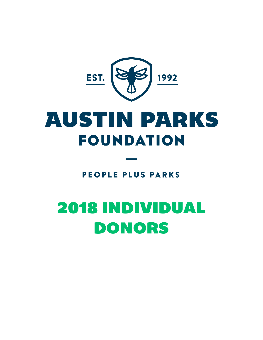

# **AUSTIN PARKS FOUNDATION**

**PEOPLE PLUS PARKS** 

# 2018 INDIVIDUAL DONORS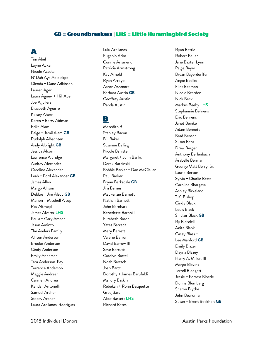#### GB = Groundbreakers | LHS = Little Hummingbird Society

## A

Tim Abel Layne Acker Nicole Acosta N' Dah Aya Adjolekpo Glenda + Dane Adkinson Lauren Ager Laura Agnew + Hill Abell Joe Aguilera Elizabeth Aguirre Kelsey Ahern Karen + Barry Aidman Erika Alam Paige + Jamil Alam **GB** Rudolph Albachten Andy Albright **GB** Jessica Alcorn Lawrence Aldridge Audrey Alexander Caroline Alexander Leah + Ford Alexander **GB** James Allen Margo Allison Debbie + Jim Alsup **GB** Marion + Mitchell Alsup Roz Altmejd James Alvarez **LHS** Paula + Gary Amaon Jason Aminto The Anders Family Allison Anderson Brooke Anderson Cindy Anderson Emily Anderson Tara Anderson-Fey Terrence Anderson Maggie Andreani Carmen Andreu Kendall Antonelli Samuel Archer Stacey Archer Laura Arellanos-Rodriguez

Lulu Arellanos Eugenio Arim Connie Arismendi Patricia Armstrong Kay Arnold Ryan Arroyo Aaron Ashmore Barbara Austin **GB** Geoffrey Austin Randa Austin

#### B

Meredith B Stanley Bacon Bill Baker Suzanne Balling Nicole Banister Margaret + John Banks Derek Barcinski Bobbie Barker + Dan McClellan Paul Barker Bryan Barksdale **GB** Jim Barnes Mackenzie Barnett Nathan Barnett John Barnhart Benedette Barnhill Elizabeth Baron Yates Barreda Mary Barrett Valerie Barron David Barrow III Seve Barrutia Carolyn Bartelli Noah Bartsch Joan Bartz Dorothy + James Barufaldi Mallory Baskin Rebekah + Ronn Basquette Greg Bass Alice Bassett **LHS** Richard Bates

Ryan Battle Robert Bauer Jane Baxter Lynn Paige Bayer Bryan Bayerdorffer Angie Bealko Flint Beamon Nicole Bearden Nick Beck Markus Beeby **LHS** Stephannie Behrens Eric Behrens Janet Beinke Adam Bennett Brad Benson Susan Benz Drew Berger Anthony Berlenbach Arabelle Berman George Matt Berry, Sr. Laurie Berson Sylvia + Charlie Betts Caroline Bhargava Ashley Birkeland T.K. Bishop Cindy Black Louis Black Sinclair Black **GB** Ry Blaisdell Anita Blank Casey Blass + Lee Manford **GB**  Emily Blazer Dayna Blazey + Harry A. Miller, III Margo Blevins Terrell Blodgett Jessie + Forrest Bloede Donna Blumberg Sharon Blythe John Boardman Susan + Brent Bockholt **GB**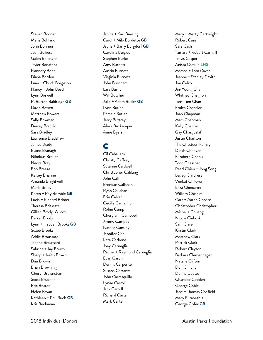Steven Bodner Maria Bohland John Bohnen Joan Boikess Galen Bollinger Javier Bonafont Flannery Bope Diana Borden Luan + Chuck Borgeson Nancy + John Bosch Lynn Boswell + R. Burton Baldridge **GB** David Bowen Matthew Bowers Sally Bowman Dewey Brackin Sara Bradley Lawrence Bradshaw James Brady Elaine Branagh Nikolaus Brauer Nedra Bray Bob Breeze Kelsey Brianne Amanda Brightwell Marla Briley Karen + Ray Brimble **GB** Lucia + Richard Brimer Theresa Brissette Gillian Brody -Wilcox Parker Brody Lynn + Hayden Brooks **GB** Suzee Brooks Addie Broussard Jeanne Broussard Sabrina + Jay Brown Sheryl + Keith Brown Dan Brown Brian Browning Cheryl Brownstein Scott Brudner Eric Bruton Helen Bryan Kathleen + Phil Buch **GB** Kris Buchanan

Janice + Karl Buesing Carol + Milo Burdette **GB** Jayna + Barry Burgdorf **GB** Carolina Burgos Stephen Burke Amy Burnett Austin Burnett Virginia Burnett John Burnham Lara Burns Will Butcher Julie + Adam Butler **GB** Lynn Butler Pamela Butler Jerry Buttrey Alexa Buxkemper Anne Byars

## C

Gil Caballero Christy Caffrey Susanne Caldwell Christopher Calilung John Call Brendan Callahan Ryan Callahan Erin Calver Cecilia Camarillo Robin Camp Cherylann Campbell Jimmy Campos Natalie Cantley Jennifer Cao Kata Carbone Joey Carneglia Rachel + Raymond Carneglia Evan Caron Dennis Carpenter Susana Carranza John Carrasquillo Lynae Carroll Jack Carroll Richard Carta Mark Carter

Mary + Marty Cartwright Robert Case Sara Cash Tamara + Robert Cash, II Travis Casper Anissa Castillo **LHS** Marsha + Tom Caven Jeanne + Stanley Cavitt Joe Celko Jin -Young Cha Whitney Chagnon Tien -Tien Chan Emlea Chanslor Joan Chapman Mars Chapman Kelly Chappell Gay Chargualaf Justin Charlton The Chasteen Family Dinah Chenven Elizabeth Chepul Todd Chessher Pearl Chien + Jong Song Lesley Childress Venkat Chiluvuri Eliza Chincarini William Chisolm Cara + Aaron Choate Christopher Christopher Michelle Chuang Nicole Ciehoski Sam Clare Kristin Clark Matthew Clark Patrick Clark Robert Clayton Barbara Clemenhagen Natalie Clifton Don Clinchy Donna Coates Chandler Cobden George Coble Jane + Thomas Coefield Mary Elizabeth + George Cofer **GB**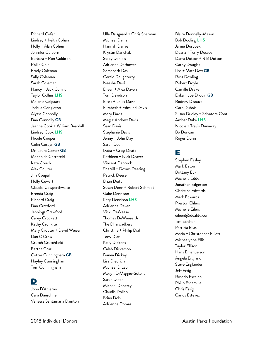Richard Cofer Lindsey + Keith Cohan Holly + Alan Cohen Jennifer Colborn Barbara + Ron Coldiron Rollie Cole Brady Coleman Sally Coleman Sarah Coleman Nancy + Jack Collins Taylor Collins **LHS** Melanie Colpaart Joshua Congleton Alyssa Connolly Dan Connolly **GB** Jeanne Cook + William Beardall Lindsey Cook **LHS** Nicole Cooper Colin Corgan **GB** Dr. Laura Cortez **GB** Mecholah Cotrofeld Kate Couch Alex Coulter Jim Coupal Holly Cowart Claudia Cowperthwaite Brenda Craig Richard Craig Dan Crawford Jennings Crawford Carey Crockett Kathy Cronkite Mary Crouter + David Weiser Dan C Crow Crutch Crutchfield Bertha Cruz Cotter Cunningham **GB** Hayley Cunningham Tom Cunningham

#### D

John D'Acierno Cara Daeschner Vanessa Santamaria Dainton

Ulla Dalsgaard + Chris Sharman Michael Damal Hannah Danae Krystin Danchak Stacy Daniels Adrienne Darhower Somenath Das Gerald Daughterty Neesha Davé Eileen + Alex Davern Tom Davidson Elissa + Louis Davis Elizabeth + Edmund Davis Mary Davis Meg + Andrew Davis Sean Davis Stephanie Davis Jenny + John Day Sarah Dean Lydia + Craig Deats Kathleen + Nick Deaver Vincent Debrock Sherrill + Downs Deering Patrick Deese Brian Deitch Susan Denn + Robert Schmidt Gabe Dennison Katy Dennison **LHS** Adrienne Dever Vicki DeWeese Thomas DeWeese, Jr. The Dharwadkers Christine + Philip Dial Tony Diaz Kelly Dickens Caleb Dickerson Danea Dickey Lisa Diedrich Michael DiLeo Megan DiMaggio-Sotello Sarah Dixon Michael Doherty Claudia Dollen Brian Dols

Adrienne Domas

Blaire Donnelly-Mason Bob Dooling **LHS** Jamie Dorobek Deana + Terry Dossey Darra Dotson + R B Dotson Cathy Douglas Lisa + Matt Dow **GB** Ross Dowling Robert Doyle Camille Drake Erika + Joe Drouin **GB** Rodney D'souza Caro Dubois Susan Dudley + Salvatore Conti Amber Duke **LHS** Nicole + Travis Dunaway Bo Duncan Roger Dunn

### E

Stephen Easley Mark Eaton Brittany Eck Michelle Eddy Jonathan Edgerton Christina Edwards Mark Edwards Preston Ehlers Michelle Eilers eileen@ideality.com Tim Eischen Patricia Elias Maria + Christopher Elliott Michaelynne Ellis Taylor Ellison Hans Emanuelson Angela England Steve Englander Jeff Ersig Rosario Escalon Philip Escamilla Chris Essig Carlos Estevez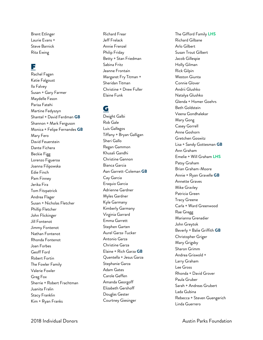Brent Etlinger Laurie Evans + Steve Barnick Rita Ewing

#### F

Rachel Fagan Katie Falgous t Ila Falvey Susan + Gary Farmer Maydelle Fason Parisa Fatehi Martine Fedyszyn Shantel + David Ferdman **GB** Shannon + Mark Ferguson Monica + Felipe Fernandes **GB** Mary Fero David Feuerstein Dante Fichera Beckie Figg Lorenzo Figueroa Joanna Filipowska Edie Finch Pam Finney Jerika Fira Tom Fitzpatrick Andrea Flager Susan + Nicholas Fletcher Phillip Fletcher John Flickinger Jill Fontenot Jimmy Fontenot Nathan Fontenot Rhonda Fontenot Joan Forbes Geoff Ford Robert Fortin The Fowler Family Valerie Fowler Greg Fo x Sherrie + Robert Frachtman Juanita Fralin Stacy Franklin Kim + Ryan Franks

Richard Frear Jeff Frelack Annie Frenzel Philip Friday Betty + Stan Friedman Sabina Fritz Jeanne Frontain Margaret Fry Titman + Sheridan Titman Christine + Drew Fuller Elaine Funk

### G

Dwight Galbi Rob Gale Luis Gallegos Tiffany + Bryan Galligan Sheri Gallo Regan Gammon Khusali Gandhi Christine Gannon Bianca Garcia Aan Garrett -Coleman **GB** Cay Garcia Eraquio Garcia Adrienne Gardner Myles Gardner Kyle Garmany Kimberly Garmany Virginia Garrard Emma Garrett Stephen Garten Aurel Garza -Tucker Antonio Garza Christine Garza Elaine + Rich Garza **GB** Quentella + Jesus Garza Stephanie Garza Adam Gates Carole Geffen Amanda Georgoff Elizabeth Gershoff Douglas Gester Courtney Giesinger

The Gifford Family **LHS** Richard Gilbane Arlo Gilbert Susan Trout Gilbert Jacob Gillespie Holly Gilman Rick Gilpin Weston Giunta Connie Glover Andrii Glushko Natalya Glushko Glenda + Homer Goehrs Beth Goldstein Veena Gondhalekar Mary Gong Casey Gorrell Anne Goshorn Gretchen Goswitz Lisa + Sandy Gottesman **GB** Ann Graham Emelie + Will Graham **LHS** Patsy Graham Brian Graham -Moore Annie + Ryan Gravelle **GB** Annette Graves Mike Gravley Patricia Green Tracy Greene Carla + Ward Greenwood Rae Gregg Marianna Grenadier John Greytok Beverly + Balie Griffith **GB** Christopher Griger Mary Grigsby Sharon Grimm Andrea Griswold + Larry Graham Lee Gross Rhonda + David Grover Paula Gruber Sarah + Andreas Grubert Lada Gubina Rebecca + Steven Guengerich Linda Guerrero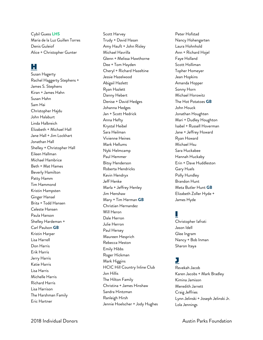Cybil Guess **LHS** Maria de la Luz Guillen Torres Denis Guleiof Alice + Christopher Gunter

#### H

Susan Hagerty Rachel Haggerty Stephens + James S. Stephens Kiran + James Hahn Susan Hahn Sam Hai Christopher Hajdu John Halaburt Linda Halbreich Elizabeth + Michael Hall Jane Hall + Jim Lockhart Jonathan Hall Shelley + Christopher Hall Eileen Hallman Michael Hambrice Beth + Mat Hames Beverly Hamilton Patty Hamm Tim Hammond Kristin Hampsten Ginger Hansel Brita + Todd Hansen Celeste Hansen Paula Hanson Shelley Hardeman + Carl Paulson **GB** Kristin Harper Lisa Harrell Don Harris Erik Harris Jerry Harris Katie Harris Lisa Harris Michelle Harris Richard Harris Lisa Harrison The Harshman Family Eric Hartner

Scott Harvey Trudy + David Hasan Amy Hauft + John Risley Michael Havrilla Glenn + Melissa Hawthorne Dee + Tom Hayden Cheryl + Richard Hazeltine Jessie Hazelwood Abigail Hazlett Ryan Hazlett Danny Hebert Denise + David Hedges Johanna Hedges Jan + Scott Hedrick Anna Hefty Krystal Heibel Sara Heilman Vivienne Heines Mark Hellums Nyki Helmcamp Paul Hemmer Bitsy Henderson Roberta Hendricks Kevin Hendryx Jeff Henke Marla + Jeffrey Henley Jim Henshaw Mary + Tim Herman **GB** Christian Hernandez Will Heron Dale Herron Julie Herron Paul Hersey Maureen Hesprich Rebecca Heston Emily Hibbs Roger Hickman Mark Higgins HCIC Hill Country Inline Club Jon Hillis The Hilton Family Christina + James Hinshaw Sandra Hintzman Ranleigh Hirsh Jennie Hoelscher + Jody Hughes

Peter Hofstad Nancy Hohengarten Laura Hohnhold Ann + Richard Hojel Faye Holland Scott Holliman Topher Homeyer Jean Hopkins Amanda Hopper Sonny Horn Michael Horowitz The Hot Potatoes **GB** John Houck Jonathan Houghten Mari + Dudley Houghton Isabel + Russell Hoverman Jane + Jeffrey Howard Ryan Howard Michael Hsu Sara Huckabee Hannah Huckaby Erin + Dave Huddleston Gary Huels Polly Hundley Brandon Hunt Meta Butler Hunt **GB** Elizabeth Zoller Hyde + James Hyde

# I

Christopher Iafrati Jason Idell Glee Ingram Nancy + Bob Inman Sharon Itaya

#### J

Revekah Jacob Karen Jacobs + Mark Bradley Kimina Jamison Meredith Jarrett Craig Jeffries Lynn Jelinski + Joseph Jelinski Jr. Lola Jennings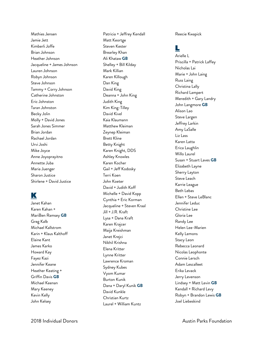Mathies Jensen Jamie Jett Kimberli Joffe Brian Johnson Heather Johnson Jacqueline + James Johnson Lauren Johnson Robyn Johnson Steve Johnson Tammy + Corry Johnson Catherine Johnston Eric Johnston Taran Johnston Becky Jolin Molly + David Jones Sarah Jones Simmer Brian Jordan Rachael Jordan Urvi Joshi Mike Joyce Anne Joyoprayitno Annette Juba Maria Juenger Sharon Justice Shirlene + David Justice

## K

Janet Kahan Karen Kahan + MariBen Ramsey **GB** Greg Kalb Michael Kallstrom Karin + Klaus Kalthoff Elaine Kant James Karko Howard Kay Fayez Kazi Jennifer Keane Heather Keating + Griffin Davis **GB** Michael Keenan Mary Keeney Kevin Kelly John Kelsey

Patricia + Jeffrey Kendall Matt Keortge Steven Kester Brearley Khan Ali Khataw **GB** Shelley + Bill Kilday Mark Killian Karen Killough Dan King David King Deanna + John King Judith King Kim King -Tilley David Kivel Kaia Klaumann Matthew Kleiman Zeynep Kleiman Brett Kline Betty Knight Karen Knight, DDS Ashley Knowles Karen Kocher Gail + Jeff Kodosky Terri Koen John Koeter David + Judith Koff Michelle + David Kopp Cynthia + Eric Korman Jacqueline + Steven Kraal Jill + J.R. Kraft Lysa + Dana Kraft Karen Krajcer Maija Kreishman Janet Krejci Nikhil Krishna Elena Kritter Lynne Kritter Lawrence Kroman Sydney Kubes Vyom Kumar Burton Kunik Dana + Daryl Kunik **GB** David Kunkle Christian Kurtz Laurel + William Kuntz

Reecie Kwapick

# L

Arielle L Priscilla + Patrick Laffey Nicholas Lai Marie + John Laing Russ Laing Christina Lally Richard Lampert Meredith + Gary Landry John Langmore **GB** Alison Lao Steve Largen Jeffrey Larkin Amy LaSalle Liz Lass Karen Latta Erica Laughlin Willo Laurel Susan + Stuart Laves **GB** Elizabeth Layne Sherry Layton Steve Leach Karrie League Beth Lebas Ellen + Steve LeBlanc Jennifer Leduc Christine Lee Gloria Lee Randy Lee Helen Lee - Marien Kelly Lemons Stacy Leon Rebecca Leonard Nicolas Leophonte Connie Lersch Adam Lescalleet Erika Levack Jerry Levenson Lindsey + Matt Levin **GB** Kendall + Richard Levy Robyn + Brandon Lewis **GB** Joel Liebeskind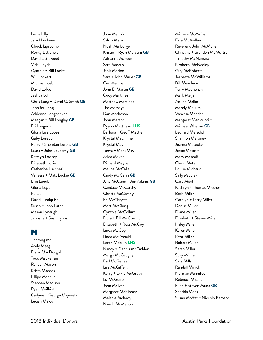Leslie Lilly Jared Lindauer Chuck Lipscomb Rocky Littlefield David Littlewood Vida Lloyde Cynthia + Bill Locke Will Lockett Michael Loeb David Lofye Jeshua Loh Chris Long + David C. Smith **GB** Jennifer Long Adrienne Longnecker Meagan + Bill Longley **GB** Eri Longoria Gloria Lisa Lopez Gaby Loredo Perry + Sheridan Lorenz **GB** Laura + John Loudamy **GB** Katelyn Lowrey Elizabeth Lozier Catherine Lucchesi Vanessa + Matt Luckie **GB** Erin Lueck Gloria Lugo Pu Liu David Lundquist Susan + John Luton Mason Lynaugh Jennalie + Sean Lyons

#### M

Jianrong Ma Andy Maag Frank MacDougal Todd Mackenzie Randall Macon Krista Maddox Fillipo Madella Stephen Madison Ryan Mailhiot Carlyne + George Majewski Lucian Maloy

John Mannix Salma Manzur Noah Marburger Kristin + Ryan Marcum **GB** Adrianne Marcum Sara Marcus Janis Marion Sara + John Marler **GB** Cari Marshall John E. Martin **GB** Cody Martinez Matthew Martinez The Masseys Dan Matheson John Matson Ryann Matthews **LHS** Barbara + Geoff Mattie Krystal Maughmer Krystal May Tanya + Mark May Zelda Mayer Richard Maynar Maline McCalla Cindy McCann **GB** Jana McCann + Jim Adams **GB** Candace McCarthy Christa McCarthy Ed McChrystal Matt McClung Cynthia McCollum Flora + Bill McCormick Elisabeth + Ross McCoy Linda McCoy Linda McDonald Loren McEllin **LHS** Nancy + Dennis McFadden Margo McGaughy Earl McGehee Lisa McGiffert Kerry + Dixie McGrath Liz McGuire John McIver Margaret McKinney Melanie Mcleroy Niamh McMahon

Michele McMains Fara McMullen + Reverend John McMullen Christina + Brandon McMurtry Timothy McNamara Kimberly McNeeley Guy McRoberts Jeanette McWilliams Bill Meacham Terry Meenehan Mark Megar Aislinn Mellor Mandy Mellum Vanessa Mendez Margaret Menicucci + Michael Whellan **GB** Leonard Meredith Shannon Meroney Joanna Mesecke Jessie Metcalf Mary Metcalf Glenn Meter Louise Michaud Sally Miculek Cara Mierl Kathryn + Thomas Miesner Beth Miller Carolyn + Terry Miller Denise Miller Diane Miller Elizabeth + Steven Miller Haley Miller Karen Miller Kent Miller Robert Miller Sarah Miller Suzy Millner Sara Mills Randall Minick Norman Minnifee Rebecca Mitchell Ellen + Steven Miura **GB** Sherida Mock Susan Moffat + Niccolo Barbaro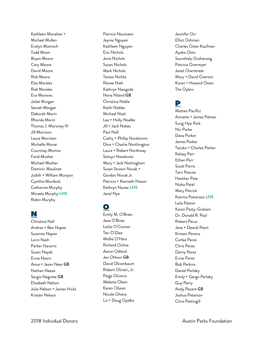Kathleen Monahan + Michael Mullen Evelyn Monnich Todd Moon Bryan Moore Cary Moore David Moore Rob Moore Elsa Morales Rob Morales Eva Moravec Juliet Morgan Sanieh Morgan Deborah Morin Rhonda Morin Thomas J. Moroney III Jill Morrison Laura Morrison Michelle Morse Courtney Morton Farid Mosher Michael Mosher Dominic Moulinet Judith + William Munyon Cynthia Murdock Catherine Murphy Micaela Murphy **LHS** Robin Murphy

#### N

Christine Nall Andrea + Ben Napier Suzanne Napier Lorin Nash Parker Navarro Susan Nayak Evvie Nazro Anna + Jason Near **GB** Nathan Neese Sergio Negrete **GB** Elizabeth Nelson Julie Nelson + James Hicks Kristen Nelson

Patricia Neumann Jaynie Nguyen Kathleen Nguyen Eric Nichols Janis Nichols Susan Nichols Mark Nichols Teresa Nichta Renee Nieh Kathryn Niezgoda Nona Niland **GB** Christina Noble Keith Nobles Michael Noel Lea + Holly Noelke Jill + Jack Nokes Paul Noll Cathy + Phillip Nordstrom Dina + Charlie Northington Laura + Robert Northway Selwyn Notelovitz Mary + Jack Nottingham Susan Strawn Novak + Gordon Novak Jr. Patricia + Kenneth Noxon Kathryn Nunez **LHS** Janel Nye

## O

Emily M . O'Brien Jane O'Brien Leslie O'Connor Teri O'Glee Mollie O'Hara Richard Ochoa Aaron Odland Jen Ohlson **GB** David Olivenbaum Robert Olivieri , Jr . Paige Oliverio Melanie Olson Karen Olsson Nicole Olvera Liz + Doug Opalka

Jennifer Orr Elliot Oshman Charles Oster Kaufman Ayako Otto Sounthaly Outhavong Patricia Overmyer Janet Overstreet Mary + David Overton Karen + Howard Owen The Oylers

#### P

Matteo Pacifici Annette + James Palmer Sung Hye Park Nic Parke Dana Parker James Parker Tazuko + Charles Parker Kelsey Parr Ethan Parr Scott Parris Terri Pascoe Heather Pate Nisha Patel Mary Patrick Katrina Patterson **LHS** Leila Patton Karen Patty -Graham Dr. Donald R. Paul Robert Pavur Jane + Dewitt Peart Kristen Pereira Carlee Perez Chris Perez Darny Perez Ernie Perez Bob Perkins Daniel Perlaky Emily + Gergo Perlaky Guy Perry Andy Pesant **GB** Joshua Peterson Chris Pettingill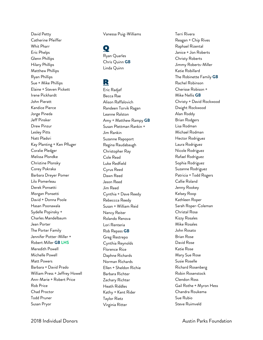David Petty Catherine Pfeiffer Whit Pharr Eric Phelps Glenn Phillips Hilary Phillips Matthew Phillips Ryan Phillips Sue + Mike Phillips Elaine + Steven Pickett Irene Pickhardt John Pieratt Kandice Pierce Jorge Pineda Jeff Pinsker Drew Pinzur Lesley Pitts Natt Pladsri Kay Planting + Ken Pfluger Coralie Pledger Melissa Plondke Christine Plonsky Corey Pokraka Barbara Dreyer Pomer Lilo Pomerleau Derek Ponsetti Morgan Ponsetti David + Donna Poole Hasan Poonawala Sydelle Popinsky + Charles Mandelbaum Jean Porter The Porter Family Jennifer Potter-Miller + Robert Miller **GB LHS** Meredith Powell Michelle Powell Matt Powers Barbara + David Prado William Press + Jeffrey Howell Ann-Marie + Robert Price Rob Price Chad Proctor Todd Pruner Susan Pryor

Vanessa Puig-Williams

#### $\mathbf O$

Ryan Quarles Chris Quinn **GB** Linda Quinn

#### R

Eric Radjef Becca Rae Alison Raffalovich Randeen Torvik Ragan Leanne Ralston Amy + Matthew Rampy **GB** Susan Plettman Rankin + Jim Rankin Suzanne Rapoport Regina Raudabaugh Christopher Ray Cole Read Luke Redfield Cyrus Reed Dawn Reed Jason Reed Jim Reed Cynthia + Dave Reedy Rebeccca Reedy Susan + William Reid Nancy Reiter Rolando Renova Lori Renteria Rob Repass **GB** Greg Restrepo Cynthia Reynolds Florence Rice Daphne Richards Norman Richards Ellen + Sheldon Richie Barbara Richter Zachary Richter Heath Riddles Kathy + Kent Rider Taylor Rietz Virginia Ritter

Terri Rivera Reagan + Chip Rives Raphael Rizental Janice + Jon Roberts Christy Roberts Jimmy Roberts-Miller Katie Robillard The Robinette Family **GB** Rachel Robinson Cherisse Robison + Mike Nellis **GB** Christy + David Rockwood Dwight Rockwood Alan Roddy Brian Rodgers Lisa Rodman Michael Rodman Hector Rodriguez Laura Rodriguez Nicole Rodriguez Rafael Rodriguez Sophia Rodriguez Suzanne Rodriguez Patricia + Todd Rogers Callie Roland Jenny Rookey Kelsey Roop Kathleen Roper Sarah Roper-Coleman Christal Rosa Kizzy Rosales Mike Rosales John Rosato Brian Rose David Rose Katie Rose Mary Sue Rose Susie Roselle Richard Rosenberg Robin Rosenstock Clendon Ross Gail Rothe + Myron Hess Chandra Roukema Sue Rubio Steve Ruimveld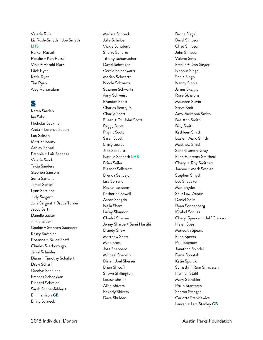Valerie Ruiz Liz Rush -Smyth + Joe Smyth **LHS** Parker Russell Rosalie + Ken Russell Viola + Harold Rutz

Dick Ryan Katie Ryan Tim Ryan Aley Rylaarsdam

#### S

Karen Saadeh Ian Sabo Nicholas Sackman Anita + Lorenzo Sadun Lou Saksen Matt Salisbury Ashley Salvati Frannie + Luis Sanchez Valerie Sand Tricia Sanders Stephen Sansom Sonia Santana James Santelli Lynn Sarcione Judy Sargent Julia Sargent + Bruce Turner Jacob Sartin Danelle Sasser Jamie Sauer Cookie + Stephen Saunders Kasey Savanich Rosanna + Bruce Scaff Charles Scarborough Jenni Schaefer Diane + Timothy Schallert Drew Scharf Carolyn Scheider Frances Schenkkan Richard Schmidt Sarah Schoenfelder + Bill Harrison **GB** Emily Schreck

Melissa Schreck Julie Schriber Vickie Schubert Sherry Schulze Tiffany Schumacher David Schwager Geraldine Schwartz Marian Schwartz Nicole Schwartz Suzanne Schwartz Amy Schweiss Brandon Scott Charles Scott , Jr. Charlie Scott Eileen + Dr. John Scott Peggy Scott Phyllis Scott Sarah Scott Emily Seales Jack Seaquist Natalie Seeboth **LHS** Brian Seiler Eleanor Sellstrom Brenda Sendejo Lisa Serrano Rachel Sessions Katherine Sewell Aaron Shagrin Nejla Shami Lacey Shannon Chadni Sharma Jenny Sharpe + Sami Hassibi Brandy Shaw Matthew Shaw Mike Shea Jose Shepperd Michael Sherwin Dina + Joel Sherzer Brian Shicoff Shawn Shillington Louise Shisler Allan Shivers Beverly Shivers Dave Shulder

Becca Siegel Beryl Simpson Chad Simpson John Simpson Valerie Sims Estelle + Don Singer Noopur Singh Sonia Singh Nancy Sipple James Skaggs Rose Skhalona Maureen Slavin Steve Smit Amy Mckenna Smith Bea Ann Smith Billy Smith Kathleen Smith Lizzie + Marc Smith Matthew Smith Sandra Smith -Gray Ellen + Jeremy Smitheal Cheryl + Roy Smithers Joanne + Mark Smolen Stephen Smyth Lee Snedaker Max Snyder Soliz Law, Austin Daniel Soliz Ryan Sonnenberg Kimbol Soques Cheryl Speaker + Jeff Clarkson Helen Spear Meredith Spears Ellen Speers Paul Spencer Jonathan Spindel Dede Spontak Katie Spurck Sumathi + Ram Srinivasan Hannah Stahl Mary Standifer Philip Stanforth Sharon Stanger Carlotta Stankiewicz Lauren + Lars Stanley **GB**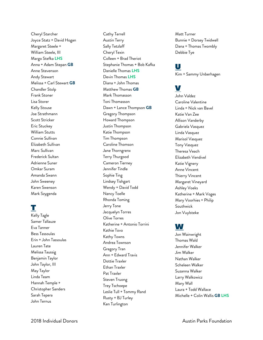Cheryl Starcher Joyce Statz + David Hogan Margaret Steele + William Steele , III Margo Stefka **LHS** Anna + Adam Stepan **GB** Anne Stevenson Andy Stewart Melissa + Carl Stewart **GB** Chandler Stolp Frank Stoner Lisa Storer Kelly Stouse Joe Strathmann Scott Stricker Eric Stuckey William Stutts Connie Sullivan Elizabeth Sullivan Marc Sullivan Frederick Sultan Adrienne Suner Omkar Suram Amanda Swann John Sweeney Karen Swenson Mark Szygenda

## T

Kelly Tagle Samer Tallauze Eva Tanner Bess Tassoulas Erin + John Tassoulas Lauren Tate Melissa Taussig Benjamin Taylor John Taylor , III May Taylor Linda Team Hannah Temple + Christopher Sanders Sarah Tepera John Ternus

Cathy Terrell Austin Terry Sally Tetzlaff Cheryl Texin Colleen + Brad Theriot Stephanie Thomas + Bob Kafka Danielle Thomas **LHS** Devin Thomas **LHS** Diana + John Thomas Matthew Thomas **GB** Mark Thomasson Toni Thomasson Dawn + Lance Thompson **GB** Gregory Thompson Howard Thompson Justin Thompson Katie Thompson Tim Thompson Caroline Thomson Jane Thorngren x Terry Thurgood Cameron Tierney Jennifer Tindle Sophie Ting Lindsey Tishgart Wendy + David Todd Nancy Toelle Rhonda Toming Jerry Tone Jacquelyn Torres Olive Torres Katherine + Antonio Torrini Kathie Tovo Kathy Towns Andrea Townson Gregory Tran Ann + Edward Travis Dottie Traxler Ethan Traxler Pat Traxler Steven Truong Trey Tschoepe Leslie Tull + Tommy Rand Rusty + BJ Turley Ken Turlington

Matt Turner Bunnie + Dorsey Twidwell Dana + Thomas Twombly Debbie Tye

#### U

Kim + Sammy Unberhagen

# V

John Valdez Caroline Valentine Linda + Nick van Bavel Katie Van Zee Allison Vanderby Gabriela Vasquez Linda Vasquez Marisol Vasquez Tony Vasquez Theresa Veach Elizabeth Vendivel Katie Vignery Anne Vincent Thierry Vincent Margaret Vineyard Ashley Voeks Katherine + Mark Voges Mary Voorhies + Philip Southwick Jon Vuylsteke

#### W

Jon Wainwright Thomas Wald Jennifer Walker Jim Walker Nathan Walker Scheleen Walker Suzanna Walker Larry Walkowicz Mary Wall Laura + Todd Wallace Michelle + Colin Wallis **GB LHS**